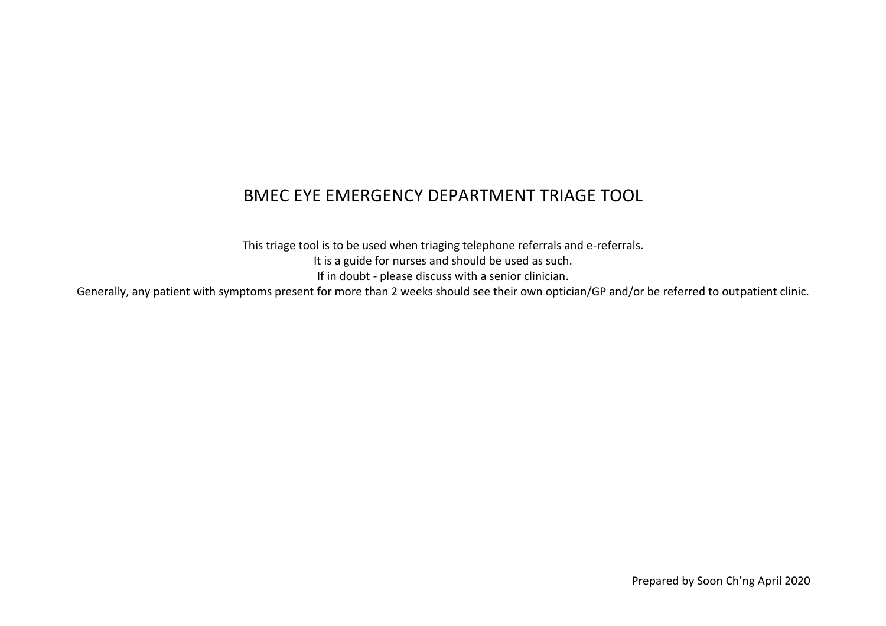## BMEC EYE EMERGENCY DEPARTMENT TRIAGE TOOL

This triage tool is to be used when triaging telephone referrals and e-referrals. It is a guide for nurses and should be used as such. If in doubt - please discuss with a senior clinician.

Generally, any patient with symptoms present for more than 2 weeks should see their own optician/GP and/or be referred to outpatient clinic.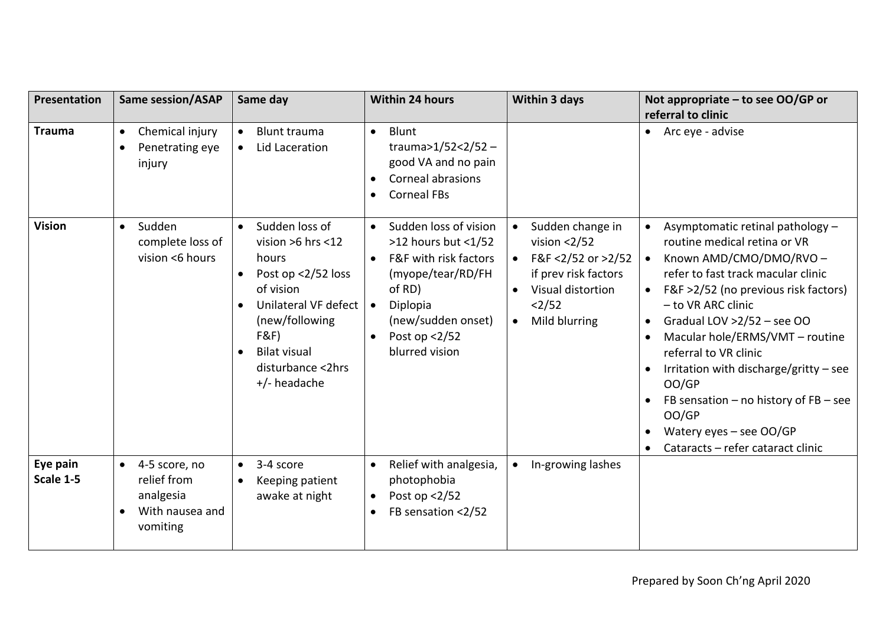| Presentation          | <b>Same session/ASAP</b>                                                                           | Same day                                                                                                                                                                                                                              | <b>Within 24 hours</b>                                                                                                                                                                                                  | <b>Within 3 days</b>                                                                                                                                                   | Not appropriate - to see OO/GP or<br>referral to clinic                                                                                                                                                                                                                                                                                                                                                                                                                              |
|-----------------------|----------------------------------------------------------------------------------------------------|---------------------------------------------------------------------------------------------------------------------------------------------------------------------------------------------------------------------------------------|-------------------------------------------------------------------------------------------------------------------------------------------------------------------------------------------------------------------------|------------------------------------------------------------------------------------------------------------------------------------------------------------------------|--------------------------------------------------------------------------------------------------------------------------------------------------------------------------------------------------------------------------------------------------------------------------------------------------------------------------------------------------------------------------------------------------------------------------------------------------------------------------------------|
| <b>Trauma</b>         | Chemical injury<br>$\bullet$<br>Penetrating eye<br>$\bullet$<br>injury                             | <b>Blunt trauma</b><br>$\bullet$<br>Lid Laceration<br>$\bullet$                                                                                                                                                                       | Blunt<br>$\bullet$<br>trauma>1/52<2/52 -<br>good VA and no pain<br>Corneal abrasions<br><b>Corneal FBs</b>                                                                                                              |                                                                                                                                                                        | • Arc eye - advise                                                                                                                                                                                                                                                                                                                                                                                                                                                                   |
| <b>Vision</b>         | Sudden<br>$\bullet$<br>complete loss of<br>vision <6 hours                                         | Sudden loss of<br>$\bullet$<br>vision $>6$ hrs <12<br>hours<br>Post op <2/52 loss<br>$\bullet$<br>of vision<br>Unilateral VF defect<br>(new/following<br>F&F<br><b>Bilat visual</b><br>$\bullet$<br>disturbance <2hrs<br>+/- headache | Sudden loss of vision<br>$\bullet$<br>$>12$ hours but $<1/52$<br>F&F with risk factors<br>$\bullet$<br>(myope/tear/RD/FH<br>of RD)<br>Diplopia<br>$\bullet$<br>(new/sudden onset)<br>Post op $<$ 2/52<br>blurred vision | Sudden change in<br>$\bullet$<br>vision $<2/52$<br>F&F <2/52 or >2/52<br>if prev risk factors<br>Visual distortion<br>$\bullet$<br><2/52<br>Mild blurring<br>$\bullet$ | Asymptomatic retinal pathology -<br>routine medical retina or VR<br>Known AMD/CMO/DMO/RVO-<br>refer to fast track macular clinic<br>F&F >2/52 (no previous risk factors)<br>- to VR ARC clinic<br>Gradual LOV $>2/52$ – see OO<br>$\bullet$<br>Macular hole/ERMS/VMT - routine<br>referral to VR clinic<br>Irritation with discharge/gritty $-$ see<br>OO/GP<br>FB sensation $-$ no history of FB $-$ see<br>OO/GP<br>Watery eyes $-$ see OO/GP<br>Cataracts - refer cataract clinic |
| Eye pain<br>Scale 1-5 | 4-5 score, no<br>$\bullet$<br>relief from<br>analgesia<br>With nausea and<br>$\bullet$<br>vomiting | 3-4 score<br>$\bullet$<br>Keeping patient<br>$\bullet$<br>awake at night                                                                                                                                                              | Relief with analgesia,<br>$\bullet$<br>photophobia<br>Post op $<2/52$<br>$\bullet$<br>FB sensation <2/52                                                                                                                | In-growing lashes                                                                                                                                                      |                                                                                                                                                                                                                                                                                                                                                                                                                                                                                      |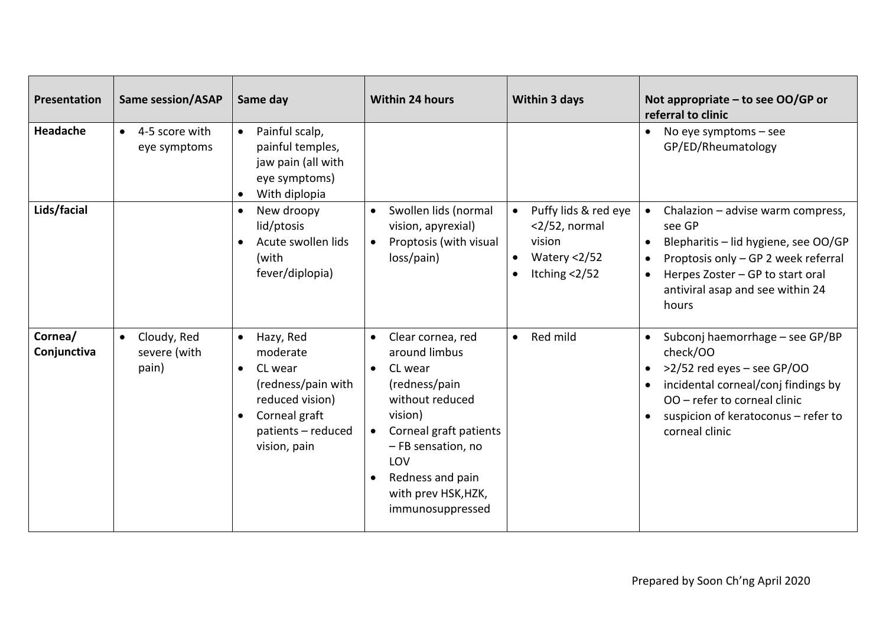| Presentation           | <b>Same session/ASAP</b>                          | Same day                                                                                                                                      | <b>Within 24 hours</b>                                                                                                                                                                                                                       | <b>Within 3 days</b>                                                                                                         | Not appropriate - to see OO/GP or<br>referral to clinic                                                                                                                                                                               |
|------------------------|---------------------------------------------------|-----------------------------------------------------------------------------------------------------------------------------------------------|----------------------------------------------------------------------------------------------------------------------------------------------------------------------------------------------------------------------------------------------|------------------------------------------------------------------------------------------------------------------------------|---------------------------------------------------------------------------------------------------------------------------------------------------------------------------------------------------------------------------------------|
| Headache               | 4-5 score with<br>$\bullet$<br>eye symptoms       | Painful scalp,<br>$\bullet$<br>painful temples,<br>jaw pain (all with<br>eye symptoms)<br>With diplopia                                       |                                                                                                                                                                                                                                              |                                                                                                                              | No eye symptoms $-$ see<br>GP/ED/Rheumatology                                                                                                                                                                                         |
| Lids/facial            |                                                   | New droopy<br>$\bullet$<br>lid/ptosis<br>Acute swollen lids<br>(with<br>fever/diplopia)                                                       | Swollen lids (normal<br>vision, apyrexial)<br>Proptosis (with visual<br>$\bullet$<br>loss/pain)                                                                                                                                              | Puffy lids & red eye<br>$\bullet$<br>$<$ 2/52, normal<br>vision<br>Watery <2/52<br>$\bullet$<br>Itching $<2/52$<br>$\bullet$ | Chalazion - advise warm compress,<br>see GP<br>Blepharitis - lid hygiene, see OO/GP<br>Proptosis only - GP 2 week referral<br>$\bullet$<br>Herpes Zoster - GP to start oral<br>$\bullet$<br>antiviral asap and see within 24<br>hours |
| Cornea/<br>Conjunctiva | Cloudy, Red<br>$\bullet$<br>severe (with<br>pain) | Hazy, Red<br>$\bullet$<br>moderate<br>CL wear<br>(redness/pain with<br>reduced vision)<br>Corneal graft<br>patients - reduced<br>vision, pain | Clear cornea, red<br>$\bullet$<br>around limbus<br>CL wear<br>(redness/pain<br>without reduced<br>vision)<br>Corneal graft patients<br>$\bullet$<br>- FB sensation, no<br>LOV<br>Redness and pain<br>with prev HSK, HZK,<br>immunosuppressed | Red mild<br>$\bullet$                                                                                                        | • Subconj haemorrhage – see GP/BP<br>check/OO<br>$>2/52$ red eyes – see GP/OO<br>$\bullet$<br>incidental corneal/conj findings by<br>OO - refer to corneal clinic<br>suspicion of keratoconus - refer to<br>corneal clinic            |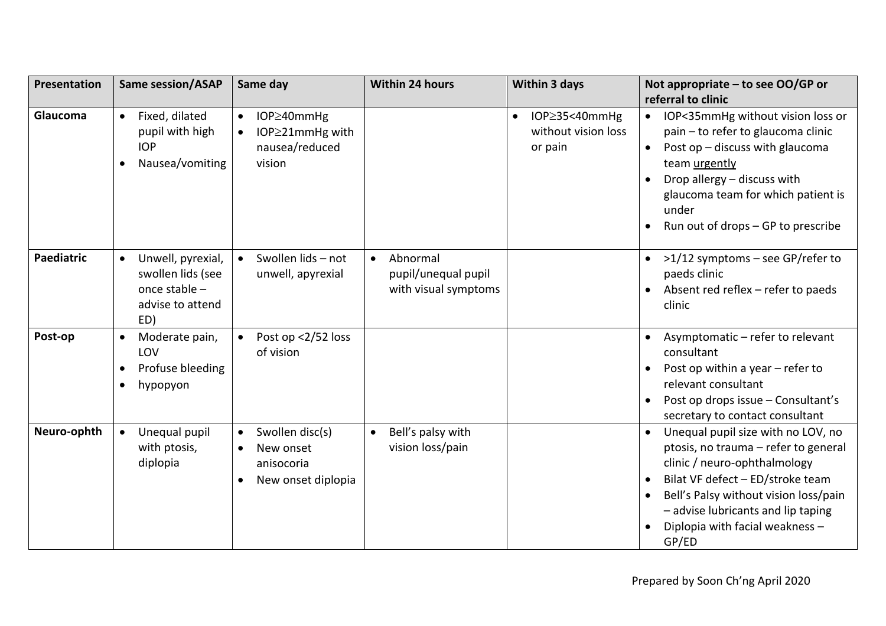| Presentation      | <b>Same session/ASAP</b>                                                                        | Same day                                                                            | Within 24 hours                                                      | Within 3 days                                                       | Not appropriate $-$ to see OO/GP or                                                                                                                                                                                                                                                                              |
|-------------------|-------------------------------------------------------------------------------------------------|-------------------------------------------------------------------------------------|----------------------------------------------------------------------|---------------------------------------------------------------------|------------------------------------------------------------------------------------------------------------------------------------------------------------------------------------------------------------------------------------------------------------------------------------------------------------------|
|                   |                                                                                                 |                                                                                     |                                                                      |                                                                     | referral to clinic                                                                                                                                                                                                                                                                                               |
| Glaucoma          | Fixed, dilated<br>$\bullet$<br>pupil with high<br><b>IOP</b><br>Nausea/vomiting                 | IOP≥40mmHg<br>$\bullet$<br>IOP≥21mmHg with<br>$\bullet$<br>nausea/reduced<br>vision |                                                                      | IOP $\geq$ 35<40mmHg<br>$\bullet$<br>without vision loss<br>or pain | IOP<35mmHg without vision loss or<br>$\bullet$<br>pain - to refer to glaucoma clinic<br>Post op - discuss with glaucoma<br>$\bullet$<br>team urgently<br>Drop allergy - discuss with<br>glaucoma team for which patient is<br>under<br>Run out of drops - GP to prescribe                                        |
| <b>Paediatric</b> | Unwell, pyrexial,<br>$\bullet$<br>swollen lids (see<br>once stable -<br>advise to attend<br>ED) | Swollen lids - not<br>unwell, apyrexial                                             | Abnormal<br>$\bullet$<br>pupil/unequal pupil<br>with visual symptoms |                                                                     | >1/12 symptoms – see GP/refer to<br>paeds clinic<br>Absent red reflex - refer to paeds<br>clinic                                                                                                                                                                                                                 |
| Post-op           | Moderate pain,<br>$\bullet$<br>LOV<br>Profuse bleeding<br>$\bullet$<br>hypopyon<br>$\bullet$    | Post op <2/52 loss<br>of vision                                                     |                                                                      |                                                                     | Asymptomatic - refer to relevant<br>$\bullet$<br>consultant<br>Post op within a year $-$ refer to<br>relevant consultant<br>Post op drops issue - Consultant's<br>secretary to contact consultant                                                                                                                |
| Neuro-ophth       | Unequal pupil<br>$\bullet$<br>with ptosis,<br>diplopia                                          | Swollen disc(s)<br>New onset<br>anisocoria<br>New onset diplopia                    | Bell's palsy with<br>$\bullet$<br>vision loss/pain                   |                                                                     | Unequal pupil size with no LOV, no<br>$\bullet$<br>ptosis, no trauma - refer to general<br>clinic / neuro-ophthalmology<br>Bilat VF defect - ED/stroke team<br>$\bullet$<br>Bell's Palsy without vision loss/pain<br>$\bullet$<br>- advise lubricants and lip taping<br>Diplopia with facial weakness -<br>GP/ED |